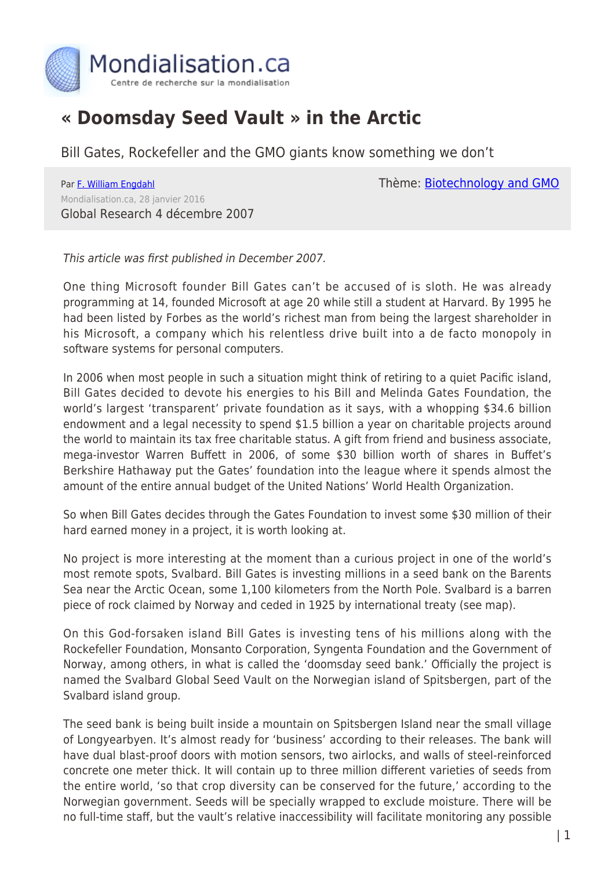

## **« Doomsday Seed Vault » in the Arctic**

Bill Gates, Rockefeller and the GMO giants know something we don't

Thème: **Biotechnology and GMO** 

Par [F. William Engdahl](https://www.mondialisation.ca/author/f-william-engdahl) Mondialisation.ca, 28 janvier 2016 Global Research 4 décembre 2007

This article was first published in December 2007.

One thing Microsoft founder Bill Gates can't be accused of is sloth. He was already programming at 14, founded Microsoft at age 20 while still a student at Harvard. By 1995 he had been listed by Forbes as the world's richest man from being the largest shareholder in his Microsoft, a company which his relentless drive built into a de facto monopoly in software systems for personal computers.

In 2006 when most people in such a situation might think of retiring to a quiet Pacific island, Bill Gates decided to devote his energies to his Bill and Melinda Gates Foundation, the world's largest 'transparent' private foundation as it says, with a whopping \$34.6 billion endowment and a legal necessity to spend \$1.5 billion a year on charitable projects around the world to maintain its tax free charitable status. A gift from friend and business associate, mega-investor Warren Buffett in 2006, of some \$30 billion worth of shares in Buffet's Berkshire Hathaway put the Gates' foundation into the league where it spends almost the amount of the entire annual budget of the United Nations' World Health Organization.

So when Bill Gates decides through the Gates Foundation to invest some \$30 million of their hard earned money in a project, it is worth looking at.

No project is more interesting at the moment than a curious project in one of the world's most remote spots, Svalbard. Bill Gates is investing millions in a seed bank on the Barents Sea near the Arctic Ocean, some 1,100 kilometers from the North Pole. Svalbard is a barren piece of rock claimed by Norway and ceded in 1925 by international treaty (see map).

On this God-forsaken island Bill Gates is investing tens of his millions along with the Rockefeller Foundation, Monsanto Corporation, Syngenta Foundation and the Government of Norway, among others, in what is called the 'doomsday seed bank.' Officially the project is named the Svalbard Global Seed Vault on the Norwegian island of Spitsbergen, part of the Svalbard island group.

The seed bank is being built inside a mountain on Spitsbergen Island near the small village of Longyearbyen. It's almost ready for 'business' according to their releases. The bank will have dual blast-proof doors with motion sensors, two airlocks, and walls of steel-reinforced concrete one meter thick. It will contain up to three million different varieties of seeds from the entire world, 'so that crop diversity can be conserved for the future,' according to the Norwegian government. Seeds will be specially wrapped to exclude moisture. There will be no full-time staff, but the vault's relative inaccessibility will facilitate monitoring any possible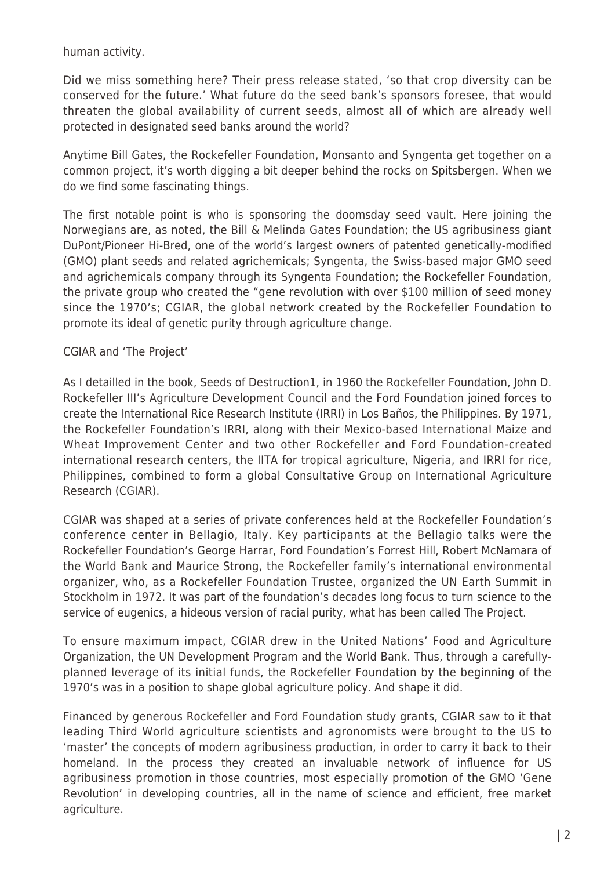human activity.

Did we miss something here? Their press release stated, 'so that crop diversity can be conserved for the future.' What future do the seed bank's sponsors foresee, that would threaten the global availability of current seeds, almost all of which are already well protected in designated seed banks around the world?

Anytime Bill Gates, the Rockefeller Foundation, Monsanto and Syngenta get together on a common project, it's worth digging a bit deeper behind the rocks on Spitsbergen. When we do we find some fascinating things.

The first notable point is who is sponsoring the doomsday seed vault. Here joining the Norwegians are, as noted, the Bill & Melinda Gates Foundation; the US agribusiness giant DuPont/Pioneer Hi-Bred, one of the world's largest owners of patented genetically-modified (GMO) plant seeds and related agrichemicals; Syngenta, the Swiss-based major GMO seed and agrichemicals company through its Syngenta Foundation; the Rockefeller Foundation, the private group who created the "gene revolution with over \$100 million of seed money since the 1970's; CGIAR, the global network created by the Rockefeller Foundation to promote its ideal of genetic purity through agriculture change.

CGIAR and 'The Project'

As I detailled in the book, Seeds of Destruction1, in 1960 the Rockefeller Foundation, John D. Rockefeller III's Agriculture Development Council and the Ford Foundation joined forces to create the International Rice Research Institute (IRRI) in Los Baños, the Philippines. By 1971, the Rockefeller Foundation's IRRI, along with their Mexico-based International Maize and Wheat Improvement Center and two other Rockefeller and Ford Foundation-created international research centers, the IITA for tropical agriculture, Nigeria, and IRRI for rice, Philippines, combined to form a global Consultative Group on International Agriculture Research (CGIAR).

CGIAR was shaped at a series of private conferences held at the Rockefeller Foundation's conference center in Bellagio, Italy. Key participants at the Bellagio talks were the Rockefeller Foundation's George Harrar, Ford Foundation's Forrest Hill, Robert McNamara of the World Bank and Maurice Strong, the Rockefeller family's international environmental organizer, who, as a Rockefeller Foundation Trustee, organized the UN Earth Summit in Stockholm in 1972. It was part of the foundation's decades long focus to turn science to the service of eugenics, a hideous version of racial purity, what has been called The Project.

To ensure maximum impact, CGIAR drew in the United Nations' Food and Agriculture Organization, the UN Development Program and the World Bank. Thus, through a carefullyplanned leverage of its initial funds, the Rockefeller Foundation by the beginning of the 1970's was in a position to shape global agriculture policy. And shape it did.

Financed by generous Rockefeller and Ford Foundation study grants, CGIAR saw to it that leading Third World agriculture scientists and agronomists were brought to the US to 'master' the concepts of modern agribusiness production, in order to carry it back to their homeland. In the process they created an invaluable network of influence for US agribusiness promotion in those countries, most especially promotion of the GMO 'Gene Revolution' in developing countries, all in the name of science and efficient, free market agriculture.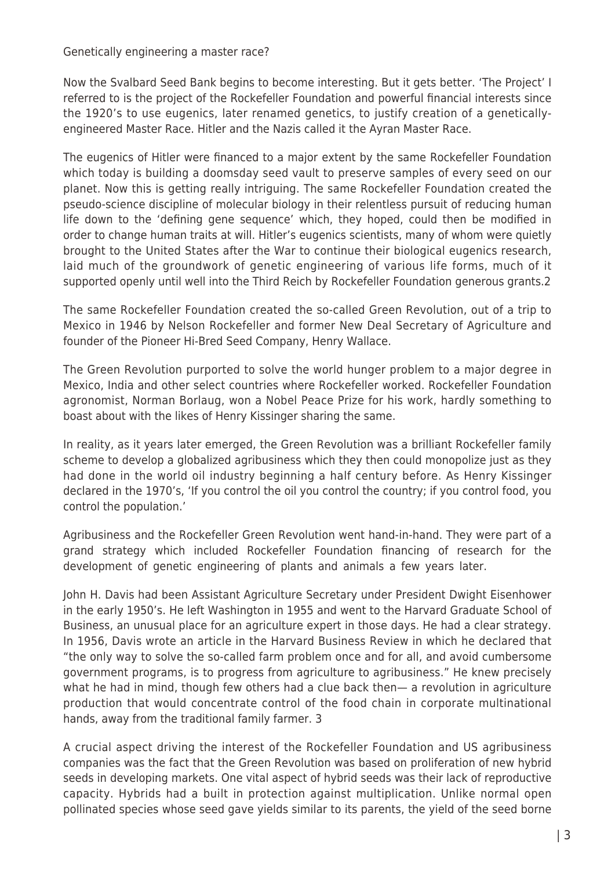Genetically engineering a master race?

Now the Svalbard Seed Bank begins to become interesting. But it gets better. 'The Project' I referred to is the project of the Rockefeller Foundation and powerful financial interests since the 1920's to use eugenics, later renamed genetics, to justify creation of a geneticallyengineered Master Race. Hitler and the Nazis called it the Ayran Master Race.

The eugenics of Hitler were financed to a major extent by the same Rockefeller Foundation which today is building a doomsday seed vault to preserve samples of every seed on our planet. Now this is getting really intriguing. The same Rockefeller Foundation created the pseudo-science discipline of molecular biology in their relentless pursuit of reducing human life down to the 'defining gene sequence' which, they hoped, could then be modified in order to change human traits at will. Hitler's eugenics scientists, many of whom were quietly brought to the United States after the War to continue their biological eugenics research, laid much of the groundwork of genetic engineering of various life forms, much of it supported openly until well into the Third Reich by Rockefeller Foundation generous grants.2

The same Rockefeller Foundation created the so-called Green Revolution, out of a trip to Mexico in 1946 by Nelson Rockefeller and former New Deal Secretary of Agriculture and founder of the Pioneer Hi-Bred Seed Company, Henry Wallace.

The Green Revolution purported to solve the world hunger problem to a major degree in Mexico, India and other select countries where Rockefeller worked. Rockefeller Foundation agronomist, Norman Borlaug, won a Nobel Peace Prize for his work, hardly something to boast about with the likes of Henry Kissinger sharing the same.

In reality, as it years later emerged, the Green Revolution was a brilliant Rockefeller family scheme to develop a globalized agribusiness which they then could monopolize just as they had done in the world oil industry beginning a half century before. As Henry Kissinger declared in the 1970's, 'If you control the oil you control the country; if you control food, you control the population.'

Agribusiness and the Rockefeller Green Revolution went hand-in-hand. They were part of a grand strategy which included Rockefeller Foundation financing of research for the development of genetic engineering of plants and animals a few years later.

John H. Davis had been Assistant Agriculture Secretary under President Dwight Eisenhower in the early 1950's. He left Washington in 1955 and went to the Harvard Graduate School of Business, an unusual place for an agriculture expert in those days. He had a clear strategy. In 1956, Davis wrote an article in the Harvard Business Review in which he declared that "the only way to solve the so-called farm problem once and for all, and avoid cumbersome government programs, is to progress from agriculture to agribusiness." He knew precisely what he had in mind, though few others had a clue back then— a revolution in agriculture production that would concentrate control of the food chain in corporate multinational hands, away from the traditional family farmer. 3

A crucial aspect driving the interest of the Rockefeller Foundation and US agribusiness companies was the fact that the Green Revolution was based on proliferation of new hybrid seeds in developing markets. One vital aspect of hybrid seeds was their lack of reproductive capacity. Hybrids had a built in protection against multiplication. Unlike normal open pollinated species whose seed gave yields similar to its parents, the yield of the seed borne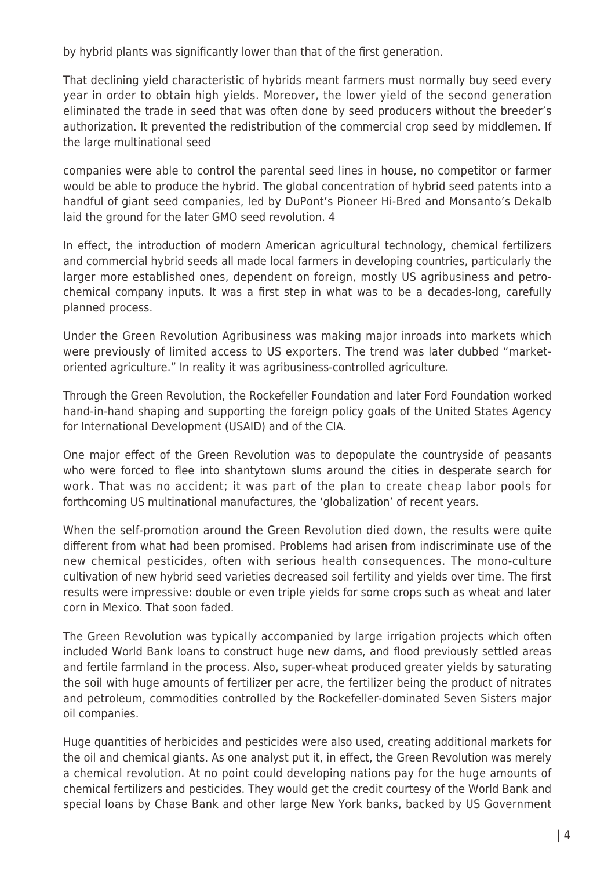by hybrid plants was significantly lower than that of the first generation.

That declining yield characteristic of hybrids meant farmers must normally buy seed every year in order to obtain high yields. Moreover, the lower yield of the second generation eliminated the trade in seed that was often done by seed producers without the breeder's authorization. It prevented the redistribution of the commercial crop seed by middlemen. If the large multinational seed

companies were able to control the parental seed lines in house, no competitor or farmer would be able to produce the hybrid. The global concentration of hybrid seed patents into a handful of giant seed companies, led by DuPont's Pioneer Hi-Bred and Monsanto's Dekalb laid the ground for the later GMO seed revolution. 4

In effect, the introduction of modern American agricultural technology, chemical fertilizers and commercial hybrid seeds all made local farmers in developing countries, particularly the larger more established ones, dependent on foreign, mostly US agribusiness and petrochemical company inputs. It was a first step in what was to be a decades-long, carefully planned process.

Under the Green Revolution Agribusiness was making major inroads into markets which were previously of limited access to US exporters. The trend was later dubbed "marketoriented agriculture." In reality it was agribusiness-controlled agriculture.

Through the Green Revolution, the Rockefeller Foundation and later Ford Foundation worked hand-in-hand shaping and supporting the foreign policy goals of the United States Agency for International Development (USAID) and of the CIA.

One major effect of the Green Revolution was to depopulate the countryside of peasants who were forced to flee into shantytown slums around the cities in desperate search for work. That was no accident; it was part of the plan to create cheap labor pools for forthcoming US multinational manufactures, the 'globalization' of recent years.

When the self-promotion around the Green Revolution died down, the results were quite different from what had been promised. Problems had arisen from indiscriminate use of the new chemical pesticides, often with serious health consequences. The mono-culture cultivation of new hybrid seed varieties decreased soil fertility and yields over time. The first results were impressive: double or even triple yields for some crops such as wheat and later corn in Mexico. That soon faded.

The Green Revolution was typically accompanied by large irrigation projects which often included World Bank loans to construct huge new dams, and flood previously settled areas and fertile farmland in the process. Also, super-wheat produced greater yields by saturating the soil with huge amounts of fertilizer per acre, the fertilizer being the product of nitrates and petroleum, commodities controlled by the Rockefeller-dominated Seven Sisters major oil companies.

Huge quantities of herbicides and pesticides were also used, creating additional markets for the oil and chemical giants. As one analyst put it, in effect, the Green Revolution was merely a chemical revolution. At no point could developing nations pay for the huge amounts of chemical fertilizers and pesticides. They would get the credit courtesy of the World Bank and special loans by Chase Bank and other large New York banks, backed by US Government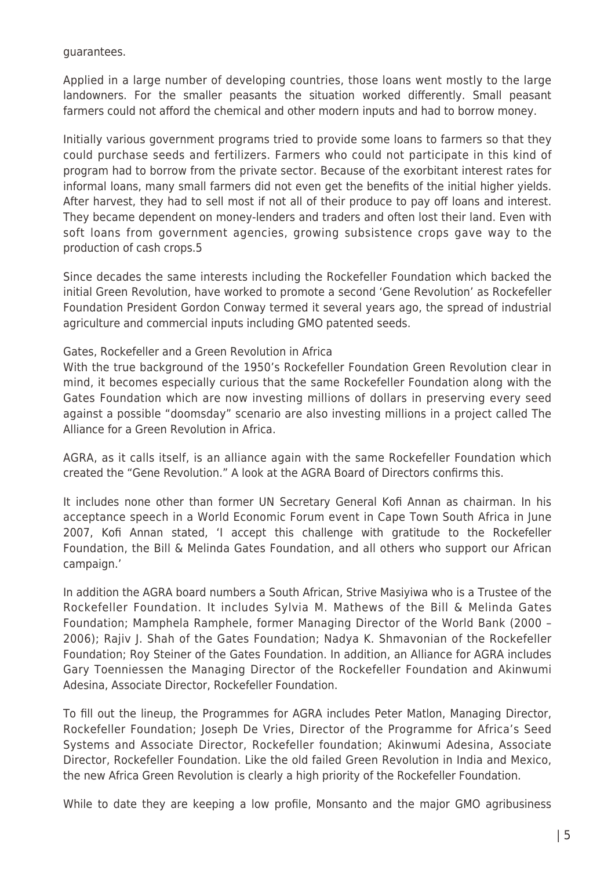guarantees.

Applied in a large number of developing countries, those loans went mostly to the large landowners. For the smaller peasants the situation worked differently. Small peasant farmers could not afford the chemical and other modern inputs and had to borrow money.

Initially various government programs tried to provide some loans to farmers so that they could purchase seeds and fertilizers. Farmers who could not participate in this kind of program had to borrow from the private sector. Because of the exorbitant interest rates for informal loans, many small farmers did not even get the benefits of the initial higher yields. After harvest, they had to sell most if not all of their produce to pay off loans and interest. They became dependent on money-lenders and traders and often lost their land. Even with soft loans from government agencies, growing subsistence crops gave way to the production of cash crops.5

Since decades the same interests including the Rockefeller Foundation which backed the initial Green Revolution, have worked to promote a second 'Gene Revolution' as Rockefeller Foundation President Gordon Conway termed it several years ago, the spread of industrial agriculture and commercial inputs including GMO patented seeds.

## Gates, Rockefeller and a Green Revolution in Africa

With the true background of the 1950's Rockefeller Foundation Green Revolution clear in mind, it becomes especially curious that the same Rockefeller Foundation along with the Gates Foundation which are now investing millions of dollars in preserving every seed against a possible "doomsday" scenario are also investing millions in a project called The Alliance for a Green Revolution in Africa.

AGRA, as it calls itself, is an alliance again with the same Rockefeller Foundation which created the "Gene Revolution." A look at the AGRA Board of Directors confirms this.

It includes none other than former UN Secretary General Kofi Annan as chairman. In his acceptance speech in a World Economic Forum event in Cape Town South Africa in June 2007, Kofi Annan stated, 'I accept this challenge with gratitude to the Rockefeller Foundation, the Bill & Melinda Gates Foundation, and all others who support our African campaign.'

In addition the AGRA board numbers a South African, Strive Masiyiwa who is a Trustee of the Rockefeller Foundation. It includes Sylvia M. Mathews of the Bill & Melinda Gates Foundation; Mamphela Ramphele, former Managing Director of the World Bank (2000 – 2006); Rajiv J. Shah of the Gates Foundation; Nadya K. Shmavonian of the Rockefeller Foundation; Roy Steiner of the Gates Foundation. In addition, an Alliance for AGRA includes Gary Toenniessen the Managing Director of the Rockefeller Foundation and Akinwumi Adesina, Associate Director, Rockefeller Foundation.

To fill out the lineup, the Programmes for AGRA includes Peter Matlon, Managing Director, Rockefeller Foundation; Joseph De Vries, Director of the Programme for Africa's Seed Systems and Associate Director, Rockefeller foundation; Akinwumi Adesina, Associate Director, Rockefeller Foundation. Like the old failed Green Revolution in India and Mexico, the new Africa Green Revolution is clearly a high priority of the Rockefeller Foundation.

While to date they are keeping a low profile, Monsanto and the major GMO agribusiness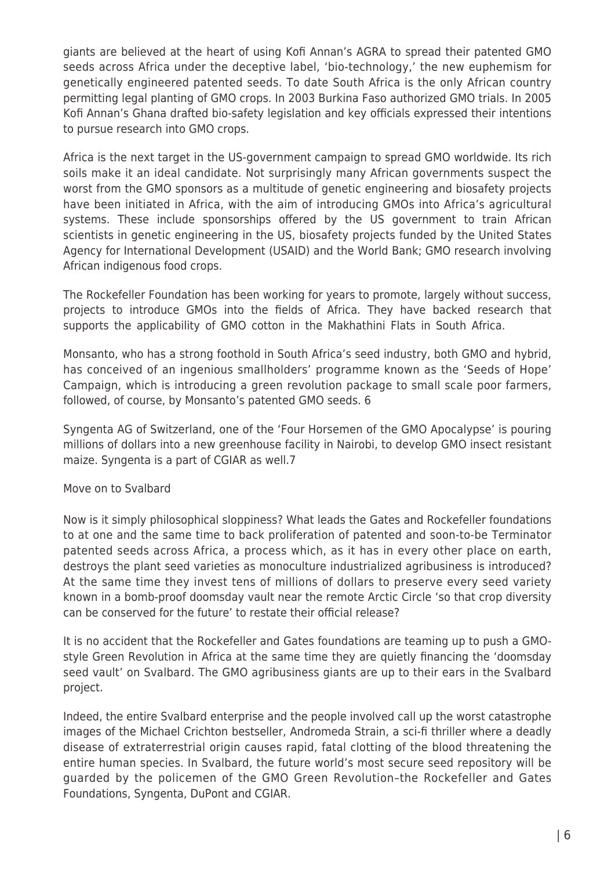giants are believed at the heart of using Kofi Annan's AGRA to spread their patented GMO seeds across Africa under the deceptive label, 'bio-technology,' the new euphemism for genetically engineered patented seeds. To date South Africa is the only African country permitting legal planting of GMO crops. In 2003 Burkina Faso authorized GMO trials. In 2005 Kofi Annan's Ghana drafted bio-safety legislation and key officials expressed their intentions to pursue research into GMO crops.

Africa is the next target in the US-government campaign to spread GMO worldwide. Its rich soils make it an ideal candidate. Not surprisingly many African governments suspect the worst from the GMO sponsors as a multitude of genetic engineering and biosafety projects have been initiated in Africa, with the aim of introducing GMOs into Africa's agricultural systems. These include sponsorships offered by the US government to train African scientists in genetic engineering in the US, biosafety projects funded by the United States Agency for International Development (USAID) and the World Bank; GMO research involving African indigenous food crops.

The Rockefeller Foundation has been working for years to promote, largely without success, projects to introduce GMOs into the fields of Africa. They have backed research that supports the applicability of GMO cotton in the Makhathini Flats in South Africa.

Monsanto, who has a strong foothold in South Africa's seed industry, both GMO and hybrid, has conceived of an ingenious smallholders' programme known as the 'Seeds of Hope' Campaign, which is introducing a green revolution package to small scale poor farmers, followed, of course, by Monsanto's patented GMO seeds. 6

Syngenta AG of Switzerland, one of the 'Four Horsemen of the GMO Apocalypse' is pouring millions of dollars into a new greenhouse facility in Nairobi, to develop GMO insect resistant maize. Syngenta is a part of CGIAR as well.7

## Move on to Svalbard

Now is it simply philosophical sloppiness? What leads the Gates and Rockefeller foundations to at one and the same time to back proliferation of patented and soon-to-be Terminator patented seeds across Africa, a process which, as it has in every other place on earth, destroys the plant seed varieties as monoculture industrialized agribusiness is introduced? At the same time they invest tens of millions of dollars to preserve every seed variety known in a bomb-proof doomsday vault near the remote Arctic Circle 'so that crop diversity can be conserved for the future' to restate their official release?

It is no accident that the Rockefeller and Gates foundations are teaming up to push a GMOstyle Green Revolution in Africa at the same time they are quietly financing the 'doomsday seed vault' on Svalbard. The GMO agribusiness giants are up to their ears in the Svalbard project.

Indeed, the entire Svalbard enterprise and the people involved call up the worst catastrophe images of the Michael Crichton bestseller, Andromeda Strain, a sci-fi thriller where a deadly disease of extraterrestrial origin causes rapid, fatal clotting of the blood threatening the entire human species. In Svalbard, the future world's most secure seed repository will be guarded by the policemen of the GMO Green Revolution–the Rockefeller and Gates Foundations, Syngenta, DuPont and CGIAR.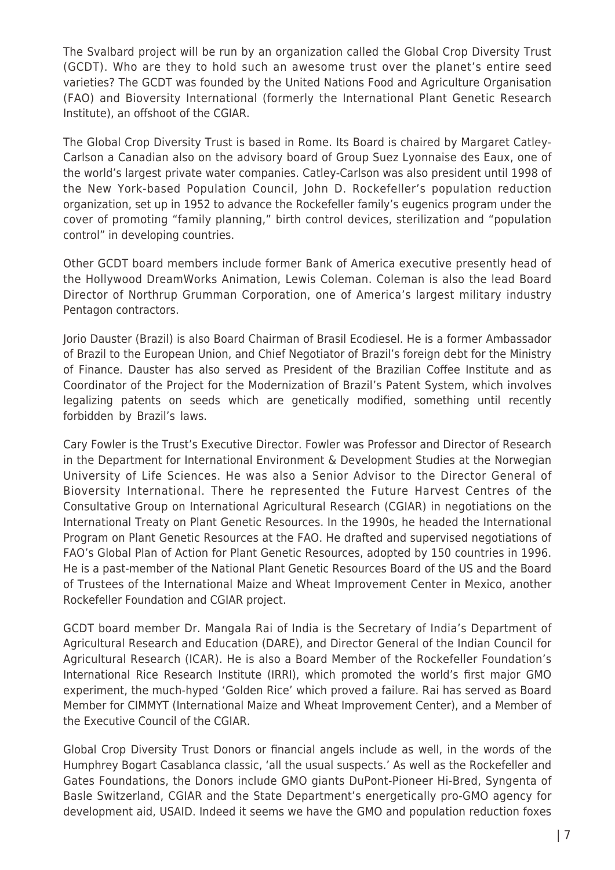The Svalbard project will be run by an organization called the Global Crop Diversity Trust (GCDT). Who are they to hold such an awesome trust over the planet's entire seed varieties? The GCDT was founded by the United Nations Food and Agriculture Organisation (FAO) and Bioversity International (formerly the International Plant Genetic Research Institute), an offshoot of the CGIAR.

The Global Crop Diversity Trust is based in Rome. Its Board is chaired by Margaret Catley-Carlson a Canadian also on the advisory board of Group Suez Lyonnaise des Eaux, one of the world's largest private water companies. Catley-Carlson was also president until 1998 of the New York-based Population Council, John D. Rockefeller's population reduction organization, set up in 1952 to advance the Rockefeller family's eugenics program under the cover of promoting "family planning," birth control devices, sterilization and "population control" in developing countries.

Other GCDT board members include former Bank of America executive presently head of the Hollywood DreamWorks Animation, Lewis Coleman. Coleman is also the lead Board Director of Northrup Grumman Corporation, one of America's largest military industry Pentagon contractors.

Jorio Dauster (Brazil) is also Board Chairman of Brasil Ecodiesel. He is a former Ambassador of Brazil to the European Union, and Chief Negotiator of Brazil's foreign debt for the Ministry of Finance. Dauster has also served as President of the Brazilian Coffee Institute and as Coordinator of the Project for the Modernization of Brazil's Patent System, which involves legalizing patents on seeds which are genetically modified, something until recently forbidden by Brazil's laws.

Cary Fowler is the Trust's Executive Director. Fowler was Professor and Director of Research in the Department for International Environment & Development Studies at the Norwegian University of Life Sciences. He was also a Senior Advisor to the Director General of Bioversity International. There he represented the Future Harvest Centres of the Consultative Group on International Agricultural Research (CGIAR) in negotiations on the International Treaty on Plant Genetic Resources. In the 1990s, he headed the International Program on Plant Genetic Resources at the FAO. He drafted and supervised negotiations of FAO's Global Plan of Action for Plant Genetic Resources, adopted by 150 countries in 1996. He is a past-member of the National Plant Genetic Resources Board of the US and the Board of Trustees of the International Maize and Wheat Improvement Center in Mexico, another Rockefeller Foundation and CGIAR project.

GCDT board member Dr. Mangala Rai of India is the Secretary of India's Department of Agricultural Research and Education (DARE), and Director General of the Indian Council for Agricultural Research (ICAR). He is also a Board Member of the Rockefeller Foundation's International Rice Research Institute (IRRI), which promoted the world's first major GMO experiment, the much-hyped 'Golden Rice' which proved a failure. Rai has served as Board Member for CIMMYT (International Maize and Wheat Improvement Center), and a Member of the Executive Council of the CGIAR.

Global Crop Diversity Trust Donors or financial angels include as well, in the words of the Humphrey Bogart Casablanca classic, 'all the usual suspects.' As well as the Rockefeller and Gates Foundations, the Donors include GMO giants DuPont-Pioneer Hi-Bred, Syngenta of Basle Switzerland, CGIAR and the State Department's energetically pro-GMO agency for development aid, USAID. Indeed it seems we have the GMO and population reduction foxes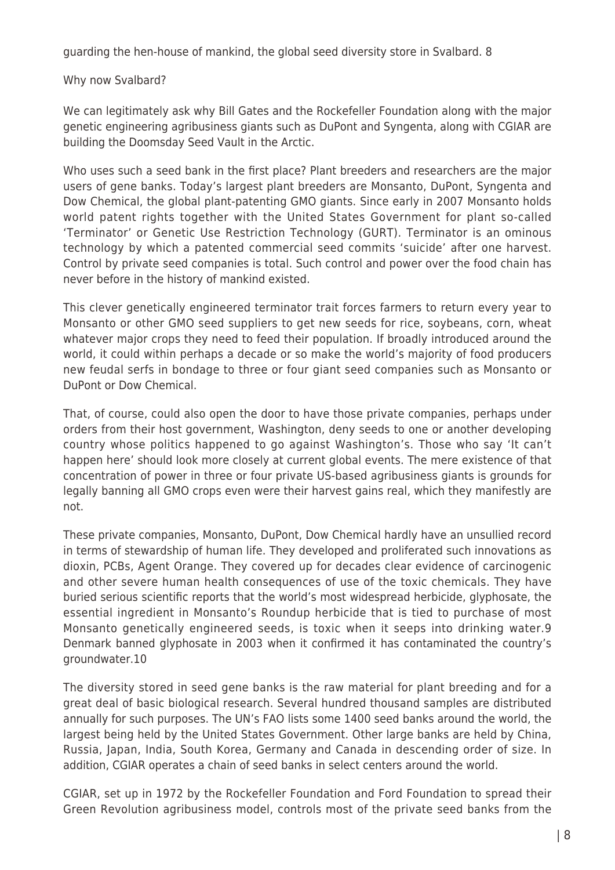guarding the hen-house of mankind, the global seed diversity store in Svalbard. 8

Why now Svalbard?

We can legitimately ask why Bill Gates and the Rockefeller Foundation along with the major genetic engineering agribusiness giants such as DuPont and Syngenta, along with CGIAR are building the Doomsday Seed Vault in the Arctic.

Who uses such a seed bank in the first place? Plant breeders and researchers are the major users of gene banks. Today's largest plant breeders are Monsanto, DuPont, Syngenta and Dow Chemical, the global plant-patenting GMO giants. Since early in 2007 Monsanto holds world patent rights together with the United States Government for plant so-called 'Terminator' or Genetic Use Restriction Technology (GURT). Terminator is an ominous technology by which a patented commercial seed commits 'suicide' after one harvest. Control by private seed companies is total. Such control and power over the food chain has never before in the history of mankind existed.

This clever genetically engineered terminator trait forces farmers to return every year to Monsanto or other GMO seed suppliers to get new seeds for rice, soybeans, corn, wheat whatever major crops they need to feed their population. If broadly introduced around the world, it could within perhaps a decade or so make the world's majority of food producers new feudal serfs in bondage to three or four giant seed companies such as Monsanto or DuPont or Dow Chemical.

That, of course, could also open the door to have those private companies, perhaps under orders from their host government, Washington, deny seeds to one or another developing country whose politics happened to go against Washington's. Those who say 'It can't happen here' should look more closely at current global events. The mere existence of that concentration of power in three or four private US-based agribusiness giants is grounds for legally banning all GMO crops even were their harvest gains real, which they manifestly are not.

These private companies, Monsanto, DuPont, Dow Chemical hardly have an unsullied record in terms of stewardship of human life. They developed and proliferated such innovations as dioxin, PCBs, Agent Orange. They covered up for decades clear evidence of carcinogenic and other severe human health consequences of use of the toxic chemicals. They have buried serious scientific reports that the world's most widespread herbicide, glyphosate, the essential ingredient in Monsanto's Roundup herbicide that is tied to purchase of most Monsanto genetically engineered seeds, is toxic when it seeps into drinking water.9 Denmark banned glyphosate in 2003 when it confirmed it has contaminated the country's groundwater.10

The diversity stored in seed gene banks is the raw material for plant breeding and for a great deal of basic biological research. Several hundred thousand samples are distributed annually for such purposes. The UN's FAO lists some 1400 seed banks around the world, the largest being held by the United States Government. Other large banks are held by China, Russia, Japan, India, South Korea, Germany and Canada in descending order of size. In addition, CGIAR operates a chain of seed banks in select centers around the world.

CGIAR, set up in 1972 by the Rockefeller Foundation and Ford Foundation to spread their Green Revolution agribusiness model, controls most of the private seed banks from the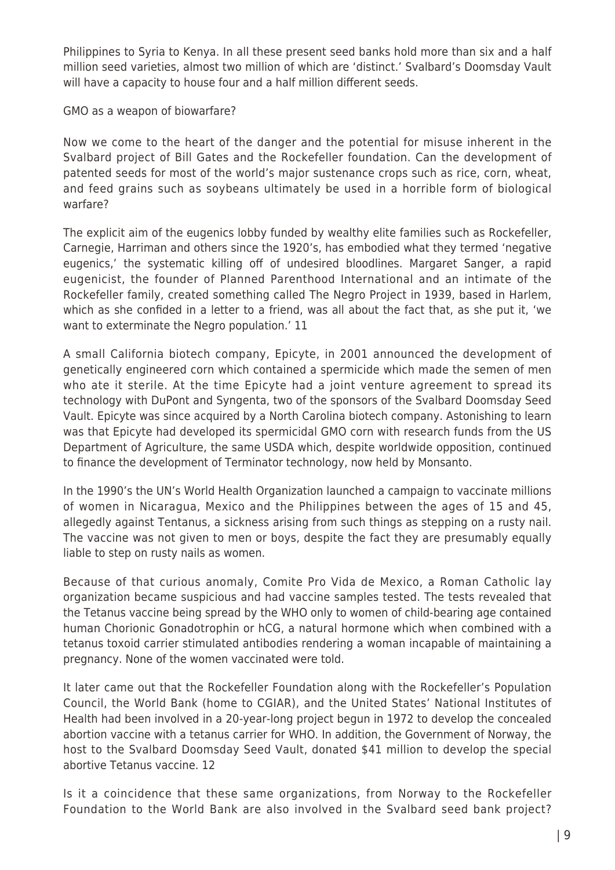Philippines to Syria to Kenya. In all these present seed banks hold more than six and a half million seed varieties, almost two million of which are 'distinct.' Svalbard's Doomsday Vault will have a capacity to house four and a half million different seeds.

GMO as a weapon of biowarfare?

Now we come to the heart of the danger and the potential for misuse inherent in the Svalbard project of Bill Gates and the Rockefeller foundation. Can the development of patented seeds for most of the world's major sustenance crops such as rice, corn, wheat, and feed grains such as soybeans ultimately be used in a horrible form of biological warfare?

The explicit aim of the eugenics lobby funded by wealthy elite families such as Rockefeller, Carnegie, Harriman and others since the 1920's, has embodied what they termed 'negative eugenics,' the systematic killing off of undesired bloodlines. Margaret Sanger, a rapid eugenicist, the founder of Planned Parenthood International and an intimate of the Rockefeller family, created something called The Negro Project in 1939, based in Harlem, which as she confided in a letter to a friend, was all about the fact that, as she put it, 'we want to exterminate the Negro population.' 11

A small California biotech company, Epicyte, in 2001 announced the development of genetically engineered corn which contained a spermicide which made the semen of men who ate it sterile. At the time Epicyte had a joint venture agreement to spread its technology with DuPont and Syngenta, two of the sponsors of the Svalbard Doomsday Seed Vault. Epicyte was since acquired by a North Carolina biotech company. Astonishing to learn was that Epicyte had developed its spermicidal GMO corn with research funds from the US Department of Agriculture, the same USDA which, despite worldwide opposition, continued to finance the development of Terminator technology, now held by Monsanto.

In the 1990's the UN's World Health Organization launched a campaign to vaccinate millions of women in Nicaragua, Mexico and the Philippines between the ages of 15 and 45, allegedly against Tentanus, a sickness arising from such things as stepping on a rusty nail. The vaccine was not given to men or boys, despite the fact they are presumably equally liable to step on rusty nails as women.

Because of that curious anomaly, Comite Pro Vida de Mexico, a Roman Catholic lay organization became suspicious and had vaccine samples tested. The tests revealed that the Tetanus vaccine being spread by the WHO only to women of child-bearing age contained human Chorionic Gonadotrophin or hCG, a natural hormone which when combined with a tetanus toxoid carrier stimulated antibodies rendering a woman incapable of maintaining a pregnancy. None of the women vaccinated were told.

It later came out that the Rockefeller Foundation along with the Rockefeller's Population Council, the World Bank (home to CGIAR), and the United States' National Institutes of Health had been involved in a 20-year-long project begun in 1972 to develop the concealed abortion vaccine with a tetanus carrier for WHO. In addition, the Government of Norway, the host to the Svalbard Doomsday Seed Vault, donated \$41 million to develop the special abortive Tetanus vaccine. 12

Is it a coincidence that these same organizations, from Norway to the Rockefeller Foundation to the World Bank are also involved in the Svalbard seed bank project?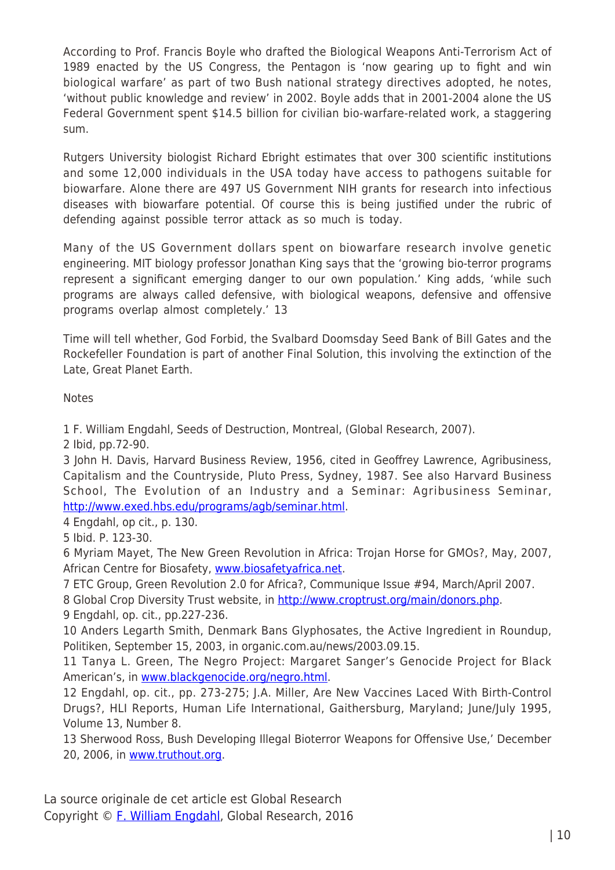According to Prof. Francis Boyle who drafted the Biological Weapons Anti-Terrorism Act of 1989 enacted by the US Congress, the Pentagon is 'now gearing up to fight and win biological warfare' as part of two Bush national strategy directives adopted, he notes, 'without public knowledge and review' in 2002. Boyle adds that in 2001-2004 alone the US Federal Government spent \$14.5 billion for civilian bio-warfare-related work, a staggering sum.

Rutgers University biologist Richard Ebright estimates that over 300 scientific institutions and some 12,000 individuals in the USA today have access to pathogens suitable for biowarfare. Alone there are 497 US Government NIH grants for research into infectious diseases with biowarfare potential. Of course this is being justified under the rubric of defending against possible terror attack as so much is today.

Many of the US Government dollars spent on biowarfare research involve genetic engineering. MIT biology professor Jonathan King says that the 'growing bio-terror programs represent a significant emerging danger to our own population.' King adds, 'while such programs are always called defensive, with biological weapons, defensive and offensive programs overlap almost completely.' 13

Time will tell whether, God Forbid, the Svalbard Doomsday Seed Bank of Bill Gates and the Rockefeller Foundation is part of another Final Solution, this involving the extinction of the Late, Great Planet Earth.

Notes

1 F. William Engdahl, Seeds of Destruction, Montreal, (Global Research, 2007).

2 Ibid, pp.72-90.

3 John H. Davis, Harvard Business Review, 1956, cited in Geoffrey Lawrence, Agribusiness, Capitalism and the Countryside, Pluto Press, Sydney, 1987. See also Harvard Business School, The Evolution of an Industry and a Seminar: Agribusiness Seminar, <http://www.exed.hbs.edu/programs/agb/seminar.html>.

4 Engdahl, op cit., p. 130.

5 Ibid. P. 123-30.

6 Myriam Mayet, The New Green Revolution in Africa: Trojan Horse for GMOs?, May, 2007, African Centre for Biosafety, [www.biosafetyafrica.net](http://www.biosafetyafrica.net/).

7 ETC Group, Green Revolution 2.0 for Africa?, Communique Issue #94, March/April 2007.

8 Global Crop Diversity Trust website, in<http://www.croptrust.org/main/donors.php>.

9 Engdahl, op. cit., pp.227-236.

10 Anders Legarth Smith, Denmark Bans Glyphosates, the Active Ingredient in Roundup, Politiken, September 15, 2003, in organic.com.au/news/2003.09.15.

11 Tanya L. Green, The Negro Project: Margaret Sanger's Genocide Project for Black American's, in [www.blackgenocide.org/negro.html](http://www.blackgenocide.org/negro.html).

12 Engdahl, op. cit., pp. 273-275; J.A. Miller, Are New Vaccines Laced With Birth-Control Drugs?, HLI Reports, Human Life International, Gaithersburg, Maryland; June/July 1995, Volume 13, Number 8.

13 Sherwood Ross, Bush Developing Illegal Bioterror Weapons for Offensive Use,' December 20, 2006, in [www.truthout.org.](http://www.truthout.org/)

La source originale de cet article est Global Research Copyright © [F. William Engdahl](https://www.mondialisation.ca/author/f-william-engdahl), Global Research, 2016